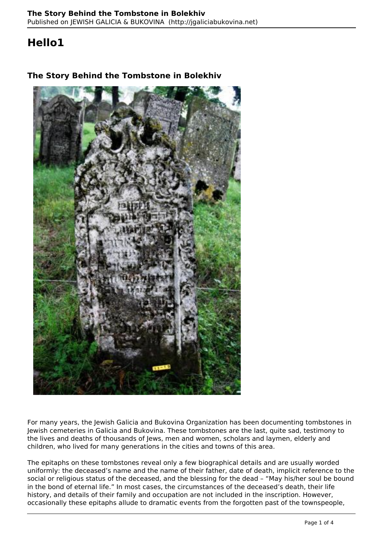## **Hello1**



## **The Story Behind the Tombstone in Bolekhiv**

For many years, the Jewish Galicia and Bukovina Organization has been documenting tombstones in Jewish cemeteries in Galicia and Bukovina. These tombstones are the last, quite sad, testimony to the lives and deaths of thousands of Jews, men and women, scholars and laymen, elderly and children, who lived for many generations in the cities and towns of this area.

The epitaphs on these tombstones reveal only a few biographical details and are usually worded uniformly: the deceased's name and the name of their father, date of death, implicit reference to the social or religious status of the deceased, and the blessing for the dead – "May his/her soul be bound in the bond of eternal life." In most cases, the circumstances of the deceased's death, their life history, and details of their family and occupation are not included in the inscription. However, occasionally these epitaphs allude to dramatic events from the forgotten past of the townspeople,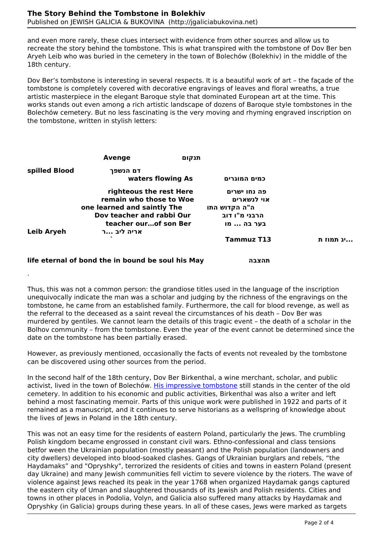.

and even more rarely, these clues intersect with evidence from other sources and allow us to recreate the story behind the tombstone. This is what transpired with the tombstone of Dov Ber ben Aryeh Leib who was buried in the cemetery in the town of Bolechów (Bolekhiv) in the middle of the 18th century.

Dov Ber's tombstone is interesting in several respects. It is a beautiful work of art – the façade of the tombstone is completely covered with decorative engravings of leaves and floral wreaths, a true artistic masterpiece in the elegant Baroque style that dominated European art at the time. This works stands out even among a rich artistic landscape of dozens of Baroque style tombstones in the Bolechów cemetery. But no less fascinating is the very moving and rhyming engraved inscription on the tombstone, written in stylish letters:

| Avenge                      |                   |                                                                                                                                                                                                      |
|-----------------------------|-------------------|------------------------------------------------------------------------------------------------------------------------------------------------------------------------------------------------------|
| דם הנשפך                    |                   |                                                                                                                                                                                                      |
|                             | כמים המוגרים      |                                                                                                                                                                                                      |
|                             | פה נחו ישרים      |                                                                                                                                                                                                      |
|                             | אוי לנשארים       |                                                                                                                                                                                                      |
| one learned and saintly The | ה"ה הקדוש התו     |                                                                                                                                                                                                      |
|                             | הרבני מ"ו דוב     |                                                                                                                                                                                                      |
|                             | בער בה  מו        |                                                                                                                                                                                                      |
| אריה ליב …ר                 |                   |                                                                                                                                                                                                      |
|                             | <b>Tammuz T13</b> | …יג תמוז ת                                                                                                                                                                                           |
|                             |                   |                                                                                                                                                                                                      |
|                             |                   | תנקום<br>waters flowing As<br>righteous the rest Here<br>remain who those to Woe<br>Dov teacher and rabbi Our<br>teacher ourof son Ber<br>life eternal of bond the in bound be soul his May<br>תהצבה |

Thus, this was not a common person: the grandiose titles used in the language of the inscription unequivocally indicate the man was a scholar and judging by the richness of the engravings on the tombstone, he came from an established family. Furthermore, the call for blood revenge, as well as the referral to the deceased as a saint reveal the circumstances of his death – Dov Ber was murdered by gentiles. We cannot learn the details of this tragic event – the death of a scholar in the Bolhov community – from the tombstone. Even the year of the event cannot be determined since the date on the tombstone has been partially erased.

However, as previously mentioned, occasionally the facts of events not revealed by the tombstone can be discovered using other sources from the period.

In the second half of the 18th century, Dov Ber Birkenthal, a wine merchant, scholar, and public activist, lived in the town of Bolechów. [His impressive tombstone](http://jgaliciabukovina.net/156666/tombstone/tombstone-dov-ber-son-yehuda-birkentahl) still stands in the center of the old cemetery. In addition to his economic and public activities, Birkenthal was also a writer and left behind a most fascinating memoir. Parts of this unique work were published in 1922 and parts of it remained as a manuscript, and it continues to serve historians as a wellspring of knowledge about the lives of Jews in Poland in the 18th century.

This was not an easy time for the residents of eastern Poland, particularly the Jews. The crumbling Polish kingdom became engrossed in constant civil wars. Ethno-confessional and class tensions betfor ween the Ukrainian population (mostly peasant) and the Polish population (landowners and city dwellers) developed into blood-soaked clashes. Gangs of Ukrainian burglars and rebels, "the Haydamaks" and "Opryshky", terrorized the residents of cities and towns in eastern Poland (present day Ukraine) and many Jewish communities fell victim to severe violence by the rioters. The wave of violence against Jews reached its peak in the year 1768 when organized Haydamak gangs captured the eastern city of Uman and slaughtered thousands of its Jewish and Polish residents. Cities and towns in other places in Podolia, Volyn, and Galicia also suffered many attacks by Haydamak and Opryshky (in Galicia) groups during these years. In all of these cases, Jews were marked as targets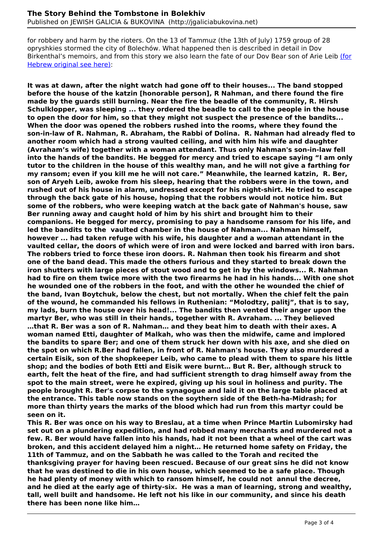for robbery and harm by the rioters. On the 13 of Tammuz (the 13th of July) 1759 group of 28 opryshkies stormed the city of Bolechów. What happened then is described in detail in Dov Birkenthal's memoirs, and from this story we also learn the fate of our Dov Bear son of Arie Leib (for Hebrew original see here):

**It was at dawn, after the night watch had gone off to their houses... The band stopped before the house of the katzin [honorable person], R Nahman, and there found the fire made by the guards still burning. Near the fire the beadle of the community, R. Hirsh Schulklopper, was sleeping ... they ordered the beadle to call to the people in the house to open the door for him, so that they might not suspect the presence of the bandits... When the door was opened the robbers rushed into the rooms, where they found the son-in-law of R. Nahman, R. Abraham, the Rabbi of Dolina. R. Nahman had already fled to another room which had a strong vaulted ceiling, and with him his wife and daughter (Avraham's wife) together with a woman attendant. Thus only Nahman's son-in-law fell into the hands of the bandits. He begged for mercy and tried to escape saying "I am only tutor to the children in the house of this wealthy man, and he will not give a farthing for my ransom; even if you kill me he will not care." Meanwhile, the learned katzin, R. Ber, son of Aryeh Leib, awoke from his sleep, hearing that the robbers were in the town, and rushed out of his house in alarm, undressed except for his night-shirt. He tried to escape through the back gate of his house, hoping that the robbers would not notice him. But some of the robbers, who were keeping watch at the back gate of Nahman's house, saw Ber running away and caught hold of him by his shirt and brought him to their companions. He begged for mercy, promising to pay a handsome ransom for his life, and led the bandits to the vaulted chamber in the house of Nahman... Nahman himself, however ... had taken refuge with his wife, his daughter and a woman attendant in the vaulted cellar, the doors of which were of iron and were locked and barred with iron bars. The robbers tried to force these iron doors. R. Nahman then took his firearm and shot one of the band dead. This made the others furious and they started to break down the iron shutters with large pieces of stout wood and to get in by the windows... R. Nahman had to fire on them twice more with the two firearms he had in his hands... With one shot he wounded one of the robbers in the foot, and with the other he wounded the chief of the band, Ivan Boytchuk, below the chest, but not mortally. When the chief felt the pain of the wound, he commanded his fellows in Ruthenian: "Molodtzy, palitj", that is to say, my lads, burn the house over his head!... The bandits then vented their anger upon the martyr Ber, who was still in their hands, together with R. Avraham. ... They believed …that R. Ber was a son of R. Nahman… and they beat him to death with their axes. A woman named Etti, daughter of Malkah, who was then the midwife, came and implored the bandits to spare Ber; and one of them struck her down with his axe, and she died on the spot on which R.Ber had fallen, in front of R. Nahman's house. They also murdered a certain Eisik, son of the shopkeeper Leib, who came to plead with them to spare his little shop; and the bodies of both Etti and Eisik were burnt… But R. Ber, although struck to earth, felt the heat of the fire, and had sufficient strength to drag himself away from the spot to the main street, were he expired, giving up his soul in holiness and purity. The people brought R. Ber's corpse to the synagogue and laid it on the large table placed at the entrance. This table now stands on the soythern side of the Beth-ha-Midrash; for more than thirty years the marks of the blood which had run from this martyr could be seen on it.**

**This R. Ber was once on his way to Breslau, at a time when Prince Martin Lubomirsky had set out on a plundering expedition, and had robbed many merchants and murdered not a few. R. Ber would have fallen into his hands, had it not been that a wheel of the cart was broken, and this accident delayed him a night… He returned home safety on Friday, the 11th of Tammuz, and on the Sabbath he was called to the Torah and recited the thanksgiving prayer for having been rescued. Because of our great sins he did not know that he was destined to die in his own house, which seemed to be a safe place. Though he had plenty of money with which to ransom himself, he could not annul the decree, and he died at the early age of thirty-six. He was a man of learning, strong and wealthy, tall, well built and handsome. He left not his like in our community, and since his death there has been none like him…**